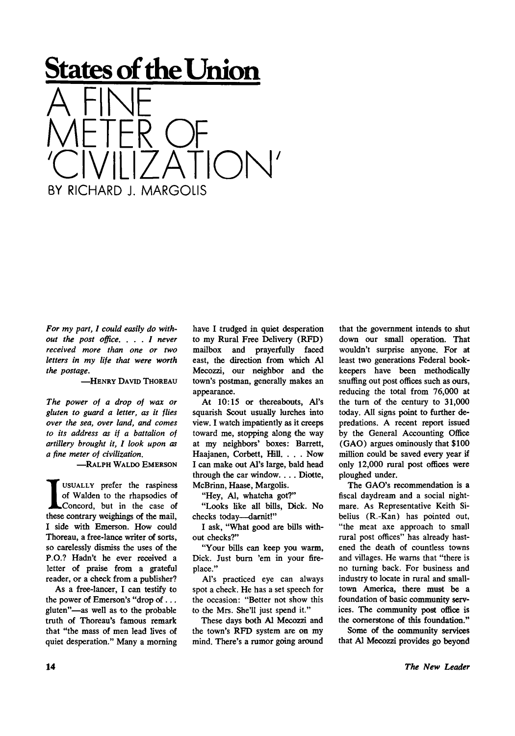## **States of the Union**  A FINE M  $\left| \bigcup \right|$ ETER OF VILIZATION'

*For my part, I could easily do without the post office. . . . I never received more than one or two letters in my life that were worth the postage.* 

-HENRY DAVID THOREAU

BY RICHARD J. MARGOLIS

*The power of a drop of wax or gluten to guard a letter, as it flies over the sea, over land, and comes to its address as if a battalion of artillery brought it, I look upon as a fine meter of civilization.* 

-RALPH WALDO EMERSON

USUALLY prefer the raspiness<br>of Walden to the rhapsodies of<br>concord, but in the case of<br>these contrary weighings of the mail, USUALLY prefer the raspiness of Walden to the rhapsodies of Concord, but in the case of I side with Emerson. How could Thoreau, a free-lance writer of sorts, so carelessly dismiss the uses of the P.O.? Hadn't he ever received a letter of praise from a grateful reader, or a check from a publisher?

As a free-lancer, I can testify to the power of Emerson's "drop of .. . gluten"—as well as to the probable truth of Thoreau's famous remark that "the mass of men lead lives of quiet desperation." Many a morning have I trudged in quiet desperation to my Rural Free Delivery (RFD) mailbox and prayerfully faced east, the direction from which Al Mecozzi, our neighbor and the town's postman, generally makes an appearance.

At 10:15 or thereabouts, Al's squarish Scout usually lurches into view. I watch impatiently as it creeps toward me, stopping along the way at my neighbors' boxes: Barrett, Haajanen, Corbett, Hill. . . . Now I can make out Al's large, bald head through the car window. . . . Diotte, McBrinn, Haase, Margolis.

"Hey, Al, whatcha got?"

"Looks like all bills, Dick. No checks today—darnit!"

I ask, "What good are bills without checks?"

"Your bills can keep you warm, Dick. Just burn 'em in your fireplace."

Al's practiced eye can always spot a check. He has a set speech for the occasion: "Better not show this to the Mrs. She'll just spend it."

These days both Al Mecozzi and the town's RFD system are on my mind. There's a rumor going around

that the government intends to shut down our small operation. That wouldn't surprise anyone. For at least two generations Federal bookkeepers have been methodically snuffing out post offices such as ours, reducing the total from 76,000 at the turn of the century to 31,000 today. All signs point to further depredations. A recent report issued by the General Accounting Office (GAO) argues ominously that \$100 million could be saved every year if only 12,000 rural post offices were ploughed under.

The GAO's recommendation is a fiscal daydream and a social nightmare. As Representative Keith Sibelius (R.-Kan) has pointed out, "the meat axe approach to small rural post offices" has already hastened the death of countless towns and villages. He warns that "there is no turning back. For business and industry to locate in rural and smalltown America, there must be a foundation of basic community services. The community post office is the cornerstone of this foundation."

Some of the community services that Al Mecozzi provides go beyond